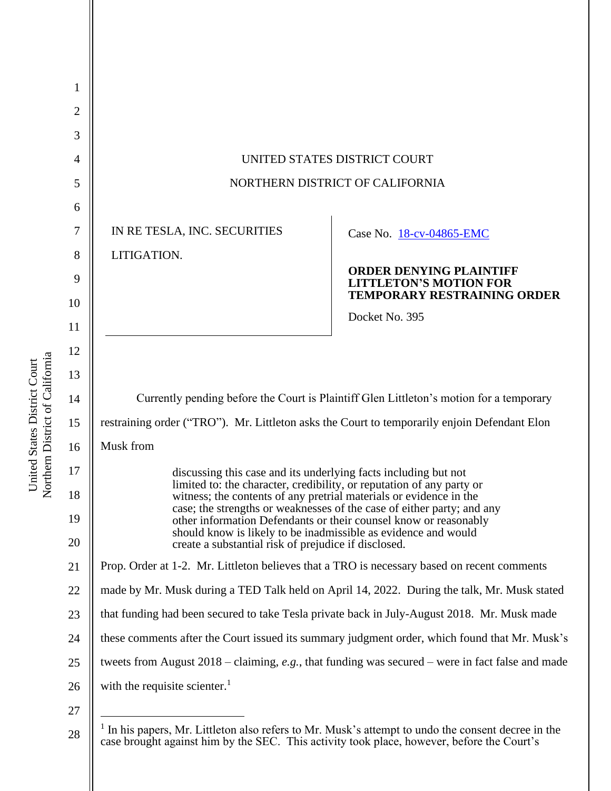| 1              |                                                                                                                                             |                                                                                                       |  |
|----------------|---------------------------------------------------------------------------------------------------------------------------------------------|-------------------------------------------------------------------------------------------------------|--|
| $\overline{c}$ |                                                                                                                                             |                                                                                                       |  |
| 3              |                                                                                                                                             |                                                                                                       |  |
| 4              | UNITED STATES DISTRICT COURT                                                                                                                |                                                                                                       |  |
| 5              | NORTHERN DISTRICT OF CALIFORNIA                                                                                                             |                                                                                                       |  |
| 6              |                                                                                                                                             |                                                                                                       |  |
| 7              | IN RE TESLA, INC. SECURITIES                                                                                                                | Case No. 18-cv-04865-EMC                                                                              |  |
| 8              | LITIGATION.                                                                                                                                 |                                                                                                       |  |
| 9              |                                                                                                                                             | <b>ORDER DENYING PLAINTIFF</b><br><b>LITTLETON'S MOTION FOR</b><br><b>TEMPORARY RESTRAINING ORDER</b> |  |
| 10             |                                                                                                                                             | Docket No. 395                                                                                        |  |
| 11             |                                                                                                                                             |                                                                                                       |  |
| 12             |                                                                                                                                             |                                                                                                       |  |
| 13             |                                                                                                                                             |                                                                                                       |  |
| 14             | Currently pending before the Court is Plaintiff Glen Littleton's motion for a temporary                                                     |                                                                                                       |  |
| 15             | restraining order ("TRO"). Mr. Littleton asks the Court to temporarily enjoin Defendant Elon                                                |                                                                                                       |  |
| 16             | Musk from                                                                                                                                   |                                                                                                       |  |
| 17             | discussing this case and its underlying facts including but not                                                                             |                                                                                                       |  |
| 18             | limited to: the character, credibility, or reputation of any party or<br>witness; the contents of any pretrial materials or evidence in the | case; the strengths or weaknesses of the case of either party: and any                                |  |
| 19             |                                                                                                                                             | other information Defendants or their counsel know or reasonably                                      |  |
| 20             | should know is likely to be inadmissible as evidence and would<br>create a substantial risk of prejudice if disclosed.                      |                                                                                                       |  |
| 21             | Prop. Order at 1-2. Mr. Littleton believes that a TRO is necessary based on recent comments                                                 |                                                                                                       |  |
| 22             | made by Mr. Musk during a TED Talk held on April 14, 2022. During the talk, Mr. Musk stated                                                 |                                                                                                       |  |
| 23             | that funding had been secured to take Tesla private back in July-August 2018. Mr. Musk made                                                 |                                                                                                       |  |
| 24             | these comments after the Court issued its summary judgment order, which found that Mr. Musk's                                               |                                                                                                       |  |
| 25             | tweets from August $2018$ – claiming, e.g., that funding was secured – were in fact false and made                                          |                                                                                                       |  |
| 26             | with the requisite scienter. <sup>1</sup>                                                                                                   |                                                                                                       |  |
| 27             |                                                                                                                                             |                                                                                                       |  |
| 2Q             |                                                                                                                                             | In his papers, Mr. Littleton also refers to Mr. Musk's attempt to undo the consent decree in the      |  |

<sup>28</sup> In his papers, Mr. Littleton also refers to Mr. Musk's attempt to undo the consent decree in the case brought against him by the SEC. This activity took place, however, before the Court's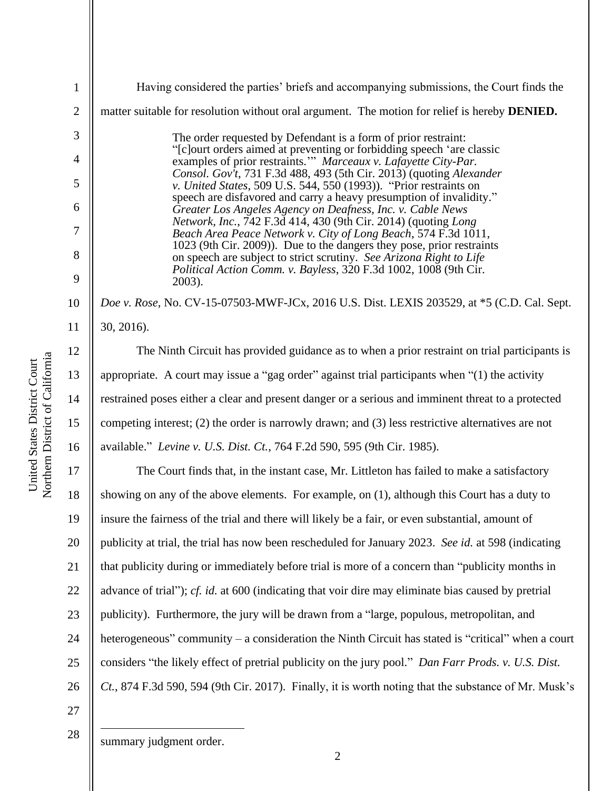|                                                                 | 5              |        |
|-----------------------------------------------------------------|----------------|--------|
|                                                                 | $\overline{6}$ |        |
|                                                                 | $\overline{7}$ |        |
|                                                                 | 8              |        |
|                                                                 | 9              |        |
|                                                                 | 10             | Doe    |
|                                                                 | 11             | 30, 2  |
|                                                                 | 12             |        |
|                                                                 | 13             | appro  |
|                                                                 | 14             | restra |
|                                                                 | 15             | comp   |
|                                                                 | 16             | avail  |
| Northern District of California<br>United States District Court | 17             |        |
|                                                                 | 18             | show   |

19

20

21

22

23

24

25

1

2

3

4

Having considered the parties' briefs and accompanying submissions, the Court finds the matter suitable for resolution without oral argument. The motion for relief is hereby **DENIED.** The order requested by Defendant is a form of prior restraint: "[c]ourt orders aimed at preventing or forbidding speech 'are classic examples of prior restraints.'" *Marceaux v. Lafayette City-Par. Consol. Gov't*, 731 F.3d 488, 493 (5th Cir. 2013) (quoting *Alexander v. United States*, 509 U.S. 544, 550 (1993)). "Prior restraints on speech are disfavored and carry a heavy presumption of invalidity." *Greater Los Angeles Agency on Deafness, Inc. v. Cable News Network, Inc.*, 742 F.3d 414, 430 (9th Cir. 2014) (quoting *Long Beach Area Peace Network v. City of Long Beach*, 574 F.3d 1011, 1023 (9th Cir. 2009)). Due to the dangers they pose, prior restraints on speech are subject to strict scrutiny. *See Arizona Right to Life Political Action Comm. v. Bayless*, 320 F.3d 1002, 1008 (9th Cir. 2003). *Doe v. Rose*, No. CV-15-07503-MWF-JCx, 2016 U.S. Dist. LEXIS 203529, at \*5 (C.D. Cal. Sept.  $2016$ ).

The Ninth Circuit has provided guidance as to when a prior restraint on trial participants is opriate. A court may issue a "gag order" against trial participants when  $\degree(1)$  the activity ained poses either a clear and present danger or a serious and imminent threat to a protected peting interest; (2) the order is narrowly drawn; and (3) less restrictive alternatives are not able." *Levine v. U.S. Dist. Ct.*, 764 F.2d 590, 595 (9th Cir. 1985).

26 The Court finds that, in the instant case, Mr. Littleton has failed to make a satisfactory showing on any of the above elements. For example, on (1), although this Court has a duty to insure the fairness of the trial and there will likely be a fair, or even substantial, amount of publicity at trial, the trial has now been rescheduled for January 2023. *See id.* at 598 (indicating that publicity during or immediately before trial is more of a concern than "publicity months in advance of trial"); *cf. id.* at 600 (indicating that voir dire may eliminate bias caused by pretrial publicity). Furthermore, the jury will be drawn from a "large, populous, metropolitan, and heterogeneous" community – a consideration the Ninth Circuit has stated is "critical" when a court considers "the likely effect of pretrial publicity on the jury pool." *Dan Farr Prods. v. U.S. Dist. Ct.*, 874 F.3d 590, 594 (9th Cir. 2017). Finally, it is worth noting that the substance of Mr. Musk's

27 28

summary judgment order.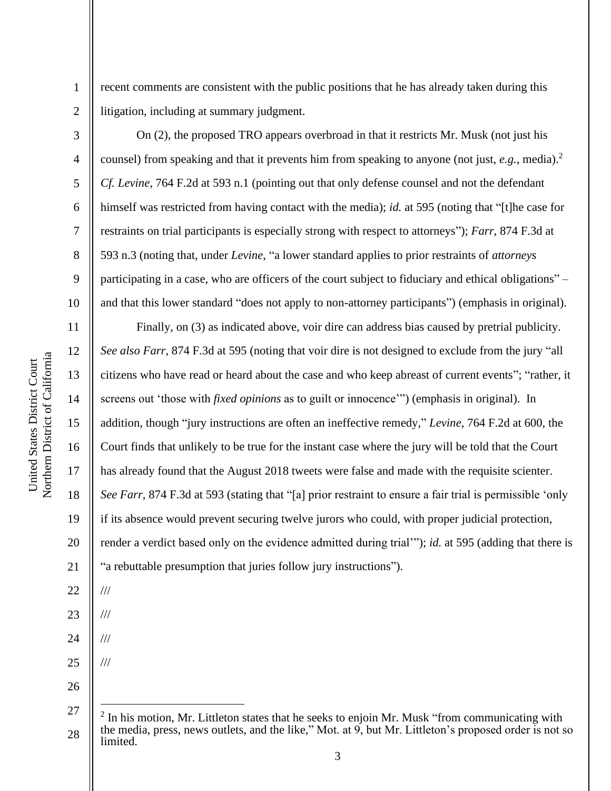2 3

4

5

6

7

8

9

10

11

12

13

14

15

16

17

18

19

20

21

22

///

///

///

///

23

24

25

26

1

recent comments are consistent with the public positions that he has already taken during this litigation, including at summary judgment.

On (2), the proposed TRO appears overbroad in that it restricts Mr. Musk (not just his counsel) from speaking and that it prevents him from speaking to anyone (not just, *e.g.*, media).<sup>2</sup> *Cf. Levine*, 764 F.2d at 593 n.1 (pointing out that only defense counsel and not the defendant himself was restricted from having contact with the media); *id.* at 595 (noting that "[t]he case for restraints on trial participants is especially strong with respect to attorneys"); *Farr*, 874 F.3d at 593 n.3 (noting that, under *Levine*, "a lower standard applies to prior restraints of *attorneys* participating in a case, who are officers of the court subject to fiduciary and ethical obligations" – and that this lower standard "does not apply to non-attorney participants") (emphasis in original).

Finally, on (3) as indicated above, voir dire can address bias caused by pretrial publicity. *See also Farr*, 874 F.3d at 595 (noting that voir dire is not designed to exclude from the jury "all citizens who have read or heard about the case and who keep abreast of current events"; "rather, it screens out 'those with *fixed opinions* as to guilt or innocence'") (emphasis in original). In addition, though "jury instructions are often an ineffective remedy," *Levine*, 764 F.2d at 600, the Court finds that unlikely to be true for the instant case where the jury will be told that the Court has already found that the August 2018 tweets were false and made with the requisite scienter. *See Farr*, 874 F.3d at 593 (stating that "[a] prior restraint to ensure a fair trial is permissible 'only if its absence would prevent securing twelve jurors who could, with proper judicial protection, render a verdict based only on the evidence admitted during trial'"); *id.* at 595 (adding that there is "a rebuttable presumption that juries follow jury instructions").

<sup>27</sup> 28  $2$  In his motion, Mr. Littleton states that he seeks to enjoin Mr. Musk "from communicating with the media, press, news outlets, and the like," Mot. at 9, but Mr. Littleton's proposed order is not so limited.